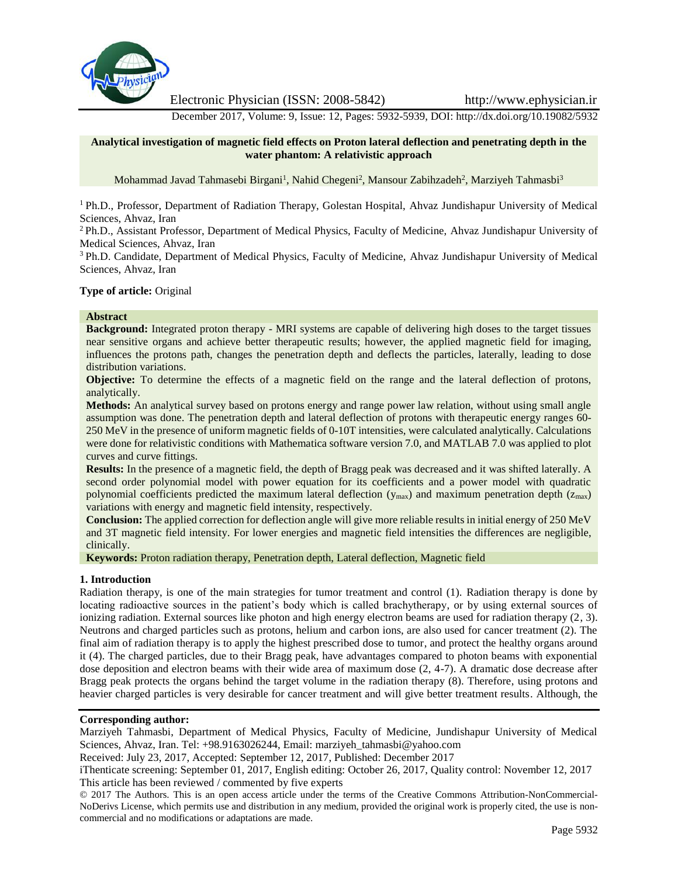

Electronic Physician (ISSN: 2008-5842) [http://www.ephysician.ir](http://www.ephysician.ir/)

December 2017, Volume: 9, Issue: 12, Pages: 5932-5939, DOI: http://dx.doi.org/10.19082/5932

## **Analytical investigation of magnetic field effects on Proton lateral deflection and penetrating depth in the water phantom: A relativistic approach**

Mohammad Javad Tahmasebi Birgani<sup>1</sup>, Nahid Chegeni<sup>2</sup>, Mansour Zabihzadeh<sup>2</sup>, Marziyeh Tahmasbi<sup>3</sup>

<sup>1</sup> Ph.D., Professor, Department of Radiation Therapy, Golestan Hospital, Ahvaz Jundishapur University of Medical Sciences, Ahvaz, Iran

<sup>2</sup>Ph.D., Assistant Professor, Department of Medical Physics, Faculty of Medicine, Ahvaz Jundishapur University of Medical Sciences, Ahvaz, Iran

<sup>3</sup>Ph.D. Candidate, Department of Medical Physics, Faculty of Medicine, Ahvaz Jundishapur University of Medical Sciences, Ahvaz, Iran

## **Type of article:** Original

## **Abstract**

**Background:** Integrated proton therapy - MRI systems are capable of delivering high doses to the target tissues near sensitive organs and achieve better therapeutic results; however, the applied magnetic field for imaging, influences the protons path, changes the penetration depth and deflects the particles, laterally, leading to dose distribution variations.

**Objective:** To determine the effects of a magnetic field on the range and the lateral deflection of protons, analytically.

**Methods:** An analytical survey based on protons energy and range power law relation, without using small angle assumption was done. The penetration depth and lateral deflection of protons with therapeutic energy ranges 60- 250 MeV in the presence of uniform magnetic fields of 0-10T intensities, were calculated analytically. Calculations were done for relativistic conditions with Mathematica software version 7.0, and MATLAB 7.0 was applied to plot curves and curve fittings.

**Results:** In the presence of a magnetic field, the depth of Bragg peak was decreased and it was shifted laterally. A second order polynomial model with power equation for its coefficients and a power model with quadratic polynomial coefficients predicted the maximum lateral deflection ( $y_{max}$ ) and maximum penetration depth ( $z_{max}$ ) variations with energy and magnetic field intensity, respectively.

**Conclusion:** The applied correction for deflection angle will give more reliable results in initial energy of 250 MeV and 3T magnetic field intensity. For lower energies and magnetic field intensities the differences are negligible, clinically.

**Keywords:** Proton radiation therapy, Penetration depth, Lateral deflection, Magnetic field

#### **1. Introduction**

Radiation therapy, is one of the main strategies for tumor treatment and control (1). Radiation therapy is done by locating radioactive sources in the patient's body which is called brachytherapy, or by using external sources of ionizing radiation. External sources like photon and high energy electron beams are used for radiation therapy (2, 3). Neutrons and charged particles such as protons, helium and carbon ions, are also used for cancer treatment (2). The final aim of radiation therapy is to apply the highest prescribed dose to tumor, and protect the healthy organs around it (4). The charged particles, due to their Bragg peak, have advantages compared to photon beams with exponential dose deposition and electron beams with their wide area of maximum dose (2, 4-7). A dramatic dose decrease after Bragg peak protects the organs behind the target volume in the radiation therapy (8). Therefore, using protons and heavier charged particles is very desirable for cancer treatment and will give better treatment results. Although, the

#### **Corresponding author:**

Marziyeh Tahmasbi, Department of Medical Physics, Faculty of Medicine, Jundishapur University of Medical Sciences, Ahvaz, Iran. Tel: +98.9163026244, Email: marziyeh\_tahmasbi@yahoo.com

Received: July 23, 2017, Accepted: September 12, 2017, Published: December 2017

© 2017 The Authors. This is an open access article under the terms of the Creative Commons Attribution-NonCommercial-NoDerivs License, which permits use and distribution in any medium, provided the original work is properly cited, the use is noncommercial and no modifications or adaptations are made.

iThenticate screening: September 01, 2017, English editing: October 26, 2017, Quality control: November 12, 2017 This article has been reviewed / commented by five experts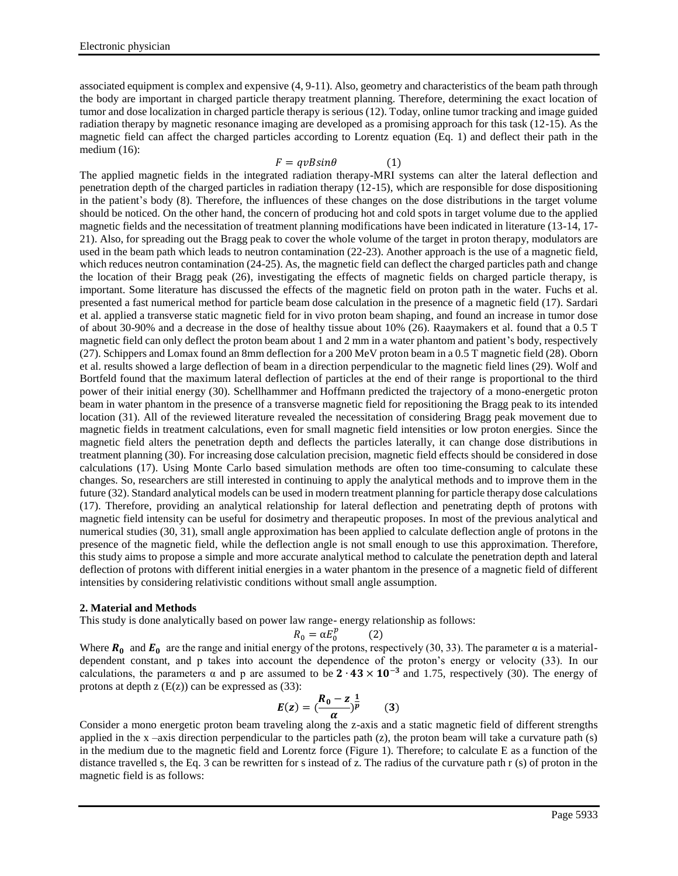associated equipment is complex and expensive (4, 9-11). Also, geometry and characteristics of the beam path through the body are important in charged particle therapy treatment planning. Therefore, determining the exact location of tumor and dose localization in charged particle therapy is serious (12). Today, online tumor tracking and image guided radiation therapy by magnetic resonance imaging are developed as a promising approach for this task (12-15). As the magnetic field can affect the charged particles according to Lorentz equation (Eq. 1) and deflect their path in the medium (16):

# $F = qvB\sin\theta$  (1)

The applied magnetic fields in the integrated radiation therapy-MRI systems can alter the lateral deflection and penetration depth of the charged particles in radiation therapy (12-15), which are responsible for dose dispositioning in the patient's body (8). Therefore, the influences of these changes on the dose distributions in the target volume should be noticed. On the other hand, the concern of producing hot and cold spots in target volume due to the applied magnetic fields and the necessitation of treatment planning modifications have been indicated in literature (13-14, 17- 21). Also, for spreading out the Bragg peak to cover the whole volume of the target in proton therapy, modulators are used in the beam path which leads to neutron contamination (22-23). Another approach is the use of a magnetic field, which reduces neutron contamination (24-25). As, the magnetic field can deflect the charged particles path and change the location of their Bragg peak (26), investigating the effects of magnetic fields on charged particle therapy, is important. Some literature has discussed the effects of the magnetic field on proton path in the water. Fuchs et al. presented a fast numerical method for particle beam dose calculation in the presence of a magnetic field (17). Sardari et al. applied a transverse static magnetic field for in vivo proton beam shaping, and found an increase in tumor dose of about 30-90% and a decrease in the dose of healthy tissue about 10% (26). Raaymakers et al. found that a 0.5 T magnetic field can only deflect the proton beam about 1 and 2 mm in a water phantom and patient's body, respectively (27). Schippers and Lomax found an 8mm deflection for a 200 MeV proton beam in a 0.5 T magnetic field (28). Oborn et al. results showed a large deflection of beam in a direction perpendicular to the magnetic field lines (29). Wolf and Bortfeld found that the maximum lateral deflection of particles at the end of their range is proportional to the third power of their initial energy (30). Schellhammer and Hoffmann predicted the trajectory of a mono-energetic proton beam in water phantom in the presence of a transverse magnetic field for repositioning the Bragg peak to its intended location (31). All of the reviewed literature revealed the necessitation of considering Bragg peak movement due to magnetic fields in treatment calculations, even for small magnetic field intensities or low proton energies. Since the magnetic field alters the penetration depth and deflects the particles laterally, it can change dose distributions in treatment planning (30). For increasing dose calculation precision, magnetic field effects should be considered in dose calculations (17). Using Monte Carlo based simulation methods are often too time-consuming to calculate these changes. So, researchers are still interested in continuing to apply the analytical methods and to improve them in the future (32). Standard analytical models can be used in modern treatment planning for particle therapy dose calculations (17). Therefore, providing an analytical relationship for lateral deflection and penetrating depth of protons with magnetic field intensity can be useful for dosimetry and therapeutic proposes. In most of the previous analytical and numerical studies (30, 31), small angle approximation has been applied to calculate deflection angle of protons in the presence of the magnetic field, while the deflection angle is not small enough to use this approximation. Therefore, this study aims to propose a simple and more accurate analytical method to calculate the penetration depth and lateral deflection of protons with different initial energies in a water phantom in the presence of a magnetic field of different intensities by considering relativistic conditions without small angle assumption.

## **2. Material and Methods**

This study is done analytically based on power law range- energy relationship as follows:

$$
R_0 = \alpha E_0^p \qquad (2)
$$

Where  $R_0$  and  $E_0$  are the range and initial energy of the protons, respectively (30, 33). The parameter  $\alpha$  is a materialdependent constant, and p takes into account the dependence of the proton's energy or velocity (33). In our calculations, the parameters  $\alpha$  and p are assumed to be  $2 \cdot 43 \times 10^{-3}$  and 1.75, respectively (30). The energy of protons at depth  $z(E(z))$  can be expressed as (33):

$$
E(z) = \left(\frac{R_0 - z}{\alpha}\right)^{\frac{1}{p}} \qquad (3)
$$

Consider a mono energetic proton beam traveling along the z-axis and a static magnetic field of different strengths applied in the  $x$  –axis direction perpendicular to the particles path  $(z)$ , the proton beam will take a curvature path  $(s)$ in the medium due to the magnetic field and Lorentz force (Figure 1). Therefore; to calculate E as a function of the distance travelled s, the Eq. 3 can be rewritten for s instead of z. The radius of the curvature path r (s) of proton in the magnetic field is as follows: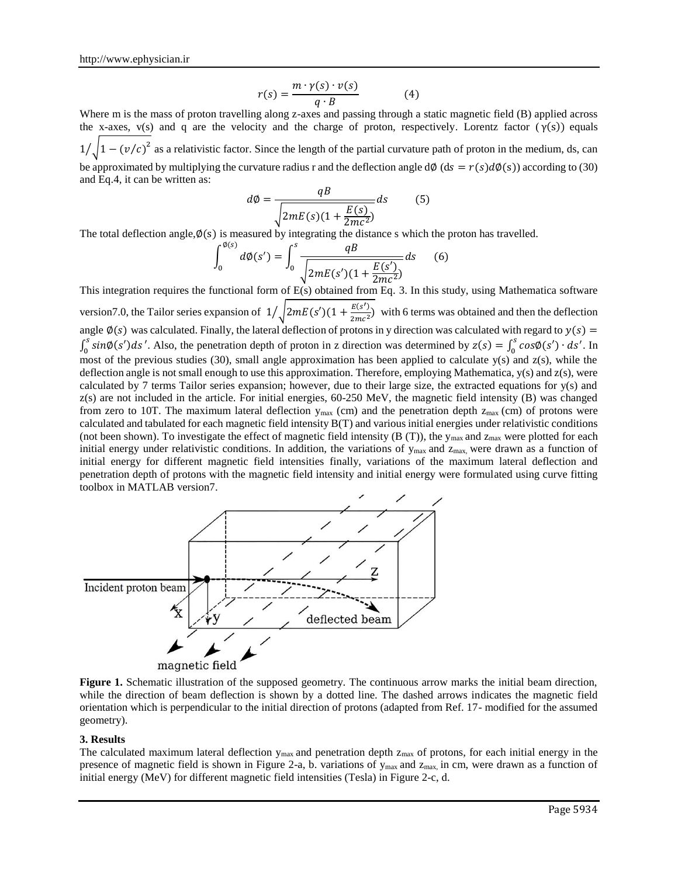$$
r(s) = \frac{m \cdot \gamma(s) \cdot v(s)}{q \cdot B} \tag{4}
$$

Where m is the mass of proton travelling along z-axes and passing through a static magnetic field (B) applied across the x-axes,  $v(s)$  and q are the velocity and the charge of proton, respectively. Lorentz factor  $(\gamma(s))$  equals  $1/\sqrt{1-(v/c)^2}$  as a relativistic factor. Since the length of the partial curvature path of proton in the medium, ds, can be approximated by multiplying the curvature radius r and the deflection angle dØ (ds =  $r(s)d\phi(s)$ ) according to (30) and Eq.4, it can be written as:

$$
d\phi = \frac{qB}{\sqrt{2mE(s)(1 + \frac{E(s)}{2mc^2})}}ds\tag{5}
$$

The total deflection angle, $Ø(s)$  is measured by integrating the distance s which the proton has travelled.

$$
\int_0^{\phi(s)} d\phi(s') = \int_0^s \frac{qB}{\sqrt{2mE(s')(1 + \frac{E(s')}{2mc^2})}} ds
$$
 (6)

This integration requires the functional form of  $E(s)$  obtained from Eq. 3. In this study, using Mathematica software version 7.0, the Tailor series expansion of  $1/2mE(s')(1 + \frac{E(s')}{2m\epsilon^2})$  $\sqrt{2mE(s')(1+\frac{E(s')}{2mc^2})}$  with 6 terms was obtained and then the deflection angle  $\emptyset(s)$  was calculated. Finally, the lateral deflection of protons in y direction was calculated with regard to  $y(s)$  =  $\int_0^s sin\phi(s')ds'$ . Also, the penetration depth of proton in z direction was determined by  $z(s) = \int_0^s cos\phi(s') \cdot ds'$  $\int_0^s cos \phi(s') \cdot ds'$ . In most of the previous studies (30), small angle approximation has been applied to calculate y(s) and z(s), while the deflection angle is not small enough to use this approximation. Therefore, employing Mathematica,  $y(s)$  and  $z(s)$ , were calculated by 7 terms Tailor series expansion; however, due to their large size, the extracted equations for  $y(s)$  and z(s) are not included in the article. For initial energies, 60-250 MeV, the magnetic field intensity (B) was changed from zero to 10T. The maximum lateral deflection  $y_{max}$  (cm) and the penetration depth  $z_{max}$  (cm) of protons were calculated and tabulated for each magnetic field intensity B(T) and various initial energies under relativistic conditions (not been shown). To investigate the effect of magnetic field intensity (B (T)), the  $y_{max}$  and  $z_{max}$  were plotted for each initial energy under relativistic conditions. In addition, the variations of  $y<sub>max</sub>$  and  $z<sub>max</sub>$ , were drawn as a function of initial energy for different magnetic field intensities finally, variations of the maximum lateral deflection and penetration depth of protons with the magnetic field intensity and initial energy were formulated using curve fitting toolbox in MATLAB version7.



**Figure 1.** Schematic illustration of the supposed geometry. The continuous arrow marks the initial beam direction, while the direction of beam deflection is shown by a dotted line. The dashed arrows indicates the magnetic field orientation which is perpendicular to the initial direction of protons (adapted from Ref. 17- modified for the assumed geometry).

## **3. Results**

The calculated maximum lateral deflection  $y_{max}$  and penetration depth  $z_{max}$  of protons, for each initial energy in the presence of magnetic field is shown in Figure 2-a, b. variations of  $y_{max}$  and  $z_{max}$ , in cm, were drawn as a function of initial energy (MeV) for different magnetic field intensities (Tesla) in Figure 2-c, d.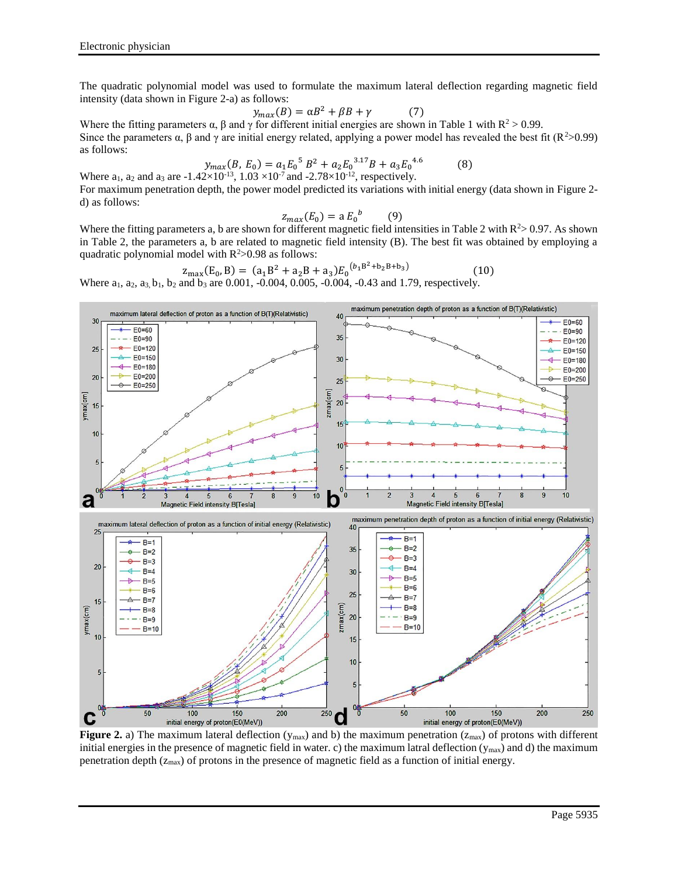The quadratic polynomial model was used to formulate the maximum lateral deflection regarding magnetic field intensity (data shown in Figure 2-a) as follows:

$$
y_{max}(B) = \alpha B^2 + \beta B + \gamma \tag{7}
$$

Where the fitting parameters  $\alpha$ ,  $\beta$  and  $\gamma$  for different initial energies are shown in Table 1 with  $R^2 > 0.99$ . Since the parameters  $\alpha$ ,  $\beta$  and  $\gamma$  are initial energy related, applying a power model has revealed the best fit (R<sup>2</sup>>0.99) as follows:

$$
y_{max}(B, E_0) = a_1 E_0^5 B^2 + a_2 E_0^{3.17} B + a_3 E_0^{4.6}
$$
 (8)  
42×10<sup>-13</sup>, 1.03×10<sup>-7</sup> and -2.78×10<sup>-12</sup>, respectively.

Where  $a_1$ ,  $a_2$  and  $a_3$  are  $-1.4$ For maximum penetration depth, the power model predicted its variations with initial energy (data shown in Figure 2 d) as follows:

$$
z_{max}(E_0) = a E_0^b \qquad (9)
$$

Where the fitting parameters a, b are shown for different magnetic field intensities in Table 2 with  $R^2 > 0.97$ . As shown in Table 2, the parameters a, b are related to magnetic field intensity (B). The best fit was obtained by employing a quadratic polynomial model with  $R^2$  > 0.98 as follows:

 $z_{\text{max}}(E_0, B) = (a_1 B^2 + a_2 B + a_3) E_0^{(b_1 B^2 + b_2 B + b_3)}$ (10) Where  $a_1$ ,  $a_2$ ,  $a_3$ ,  $b_1$ ,  $b_2$  and  $b_3$  are 0.001, -0.004, 0.005, -0.004, -0.43 and 1.79, respectively.



**Figure 2.** a) The maximum lateral deflection ( $y_{max}$ ) and b) the maximum penetration ( $z_{max}$ ) of protons with different initial energies in the presence of magnetic field in water. c) the maximum latral deflection  $(y_{max})$  and d) the maximum penetration depth  $(z_{\text{max}})$  of protons in the presence of magnetic field as a function of initial energy.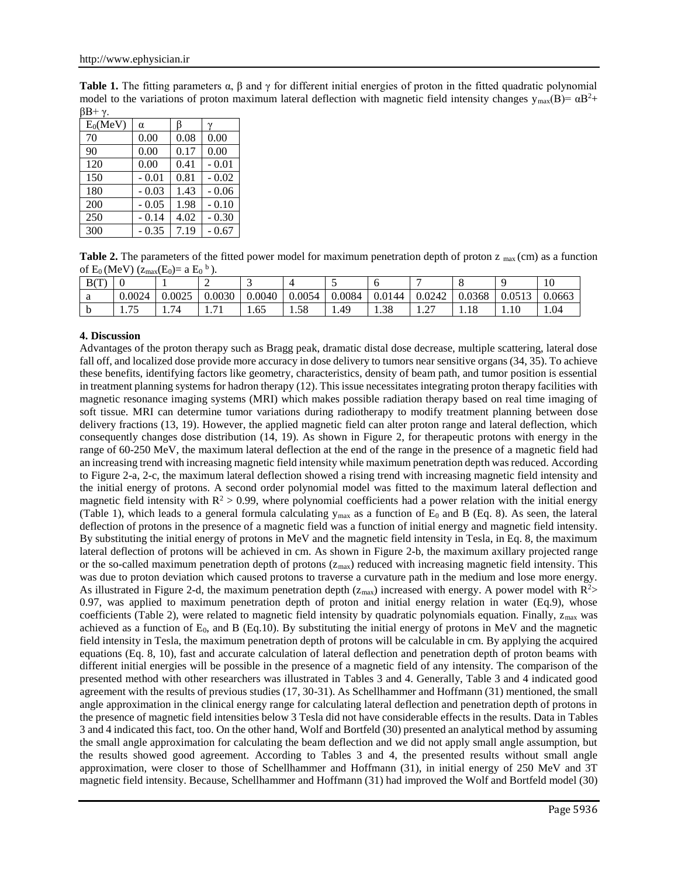**Table 1.** The fitting parameters  $\alpha$ ,  $\beta$  and  $\gamma$  for different initial energies of proton in the fitted quadratic polynomial model to the variations of proton maximum lateral deflection with magnetic field intensity changes  $y_{max}(B) = \alpha B^2 + \alpha B^2$  $<sub>βB+</sub>$  γ.</sub>

| $E_0$ (MeV) | $\alpha$ | ß    | ν       |
|-------------|----------|------|---------|
| 70          | 0.00     | 0.08 | 0.00    |
| 90          | 0.00     | 0.17 | 0.00    |
| 120         | 0.00     | 0.41 | $-0.01$ |
| 150         | $-0.01$  | 0.81 | $-0.02$ |
| 180         | $-0.03$  | 1.43 | $-0.06$ |
| 200         | $-0.05$  | 1.98 | $-0.10$ |
| 250         | $-0.14$  | 4.02 | $-0.30$ |
| 300         | $-0.35$  | 7.19 | $-0.67$ |

Table 2. The parameters of the fitted power model for maximum penetration depth of proton z <sub>max</sub> (cm) as a function of  $E_0$  (MeV) ( $z_{max}(E_0) = a E_0^b$ ).

| B(T) |                                    |        | -                  |        |        |         |        |                          |        |        | 10     |
|------|------------------------------------|--------|--------------------|--------|--------|---------|--------|--------------------------|--------|--------|--------|
| u    | 0.0024                             | 0.0025 | 0.0030             | 0.0040 | 0.0054 | 0.0084  | 0.0144 | 0.0242                   | 0.0368 | 0.0513 | 0.0663 |
|      | $\overline{\phantom{a}}$<br>1. I J | 1.74   | $\sim$ $\sim$<br>. | 1.65   | 1.58   | 40<br>. | 1.38   | $\sim$<br>$\cdot$ $\sim$ | 1.10   | 1.10   | 1.04   |

#### **4. Discussion**

Advantages of the proton therapy such as Bragg peak, dramatic distal dose decrease, multiple scattering, lateral dose fall off, and localized dose provide more accuracy in dose delivery to tumors near sensitive organs (34, 35). To achieve these benefits, identifying factors like geometry, characteristics, density of beam path, and tumor position is essential in treatment planning systems for hadron therapy (12). This issue necessitates integrating proton therapy facilities with magnetic resonance imaging systems (MRI) which makes possible radiation therapy based on real time imaging of soft tissue. MRI can determine tumor variations during radiotherapy to modify treatment planning between dose delivery fractions (13, 19). However, the applied magnetic field can alter proton range and lateral deflection, which consequently changes dose distribution (14, 19). As shown in Figure 2, for therapeutic protons with energy in the range of 60-250 MeV, the maximum lateral deflection at the end of the range in the presence of a magnetic field had an increasing trend with increasing magnetic field intensity while maximum penetration depth was reduced. According to Figure 2-a, 2-c, the maximum lateral deflection showed a rising trend with increasing magnetic field intensity and the initial energy of protons. A second order polynomial model was fitted to the maximum lateral deflection and magnetic field intensity with  $R^2 > 0.99$ , where polynomial coefficients had a power relation with the initial energy (Table 1), which leads to a general formula calculating  $y_{max}$  as a function of E<sub>0</sub> and B (Eq. 8). As seen, the lateral deflection of protons in the presence of a magnetic field was a function of initial energy and magnetic field intensity. By substituting the initial energy of protons in MeV and the magnetic field intensity in Tesla, in Eq. 8, the maximum lateral deflection of protons will be achieved in cm. As shown in Figure 2-b, the maximum axillary projected range or the so-called maximum penetration depth of protons  $(z_{\text{max}})$  reduced with increasing magnetic field intensity. This was due to proton deviation which caused protons to traverse a curvature path in the medium and lose more energy. As illustrated in Figure 2-d, the maximum penetration depth ( $z_{\text{max}}$ ) increased with energy. A power model with  $R^2$ > 0.97, was applied to maximum penetration depth of proton and initial energy relation in water (Eq.9), whose coefficients (Table 2), were related to magnetic field intensity by quadratic polynomials equation. Finally,  $z_{\text{max}}$  was achieved as a function of  $E_0$ , and B (Eq.10). By substituting the initial energy of protons in MeV and the magnetic field intensity in Tesla, the maximum penetration depth of protons will be calculable in cm. By applying the acquired equations (Eq. 8, 10), fast and accurate calculation of lateral deflection and penetration depth of proton beams with different initial energies will be possible in the presence of a magnetic field of any intensity. The comparison of the presented method with other researchers was illustrated in Tables 3 and 4. Generally, Table 3 and 4 indicated good agreement with the results of previous studies (17, 30-31). As Schellhammer and Hoffmann (31) mentioned, the small angle approximation in the clinical energy range for calculating lateral deflection and penetration depth of protons in the presence of magnetic field intensities below 3 Tesla did not have considerable effects in the results. Data in Tables 3 and 4 indicated this fact, too. On the other hand, Wolf and Bortfeld (30) presented an analytical method by assuming the small angle approximation for calculating the beam deflection and we did not apply small angle assumption, but the results showed good agreement. According to Tables 3 and 4, the presented results without small angle approximation, were closer to those of Schellhammer and Hoffmann (31), in initial energy of 250 MeV and 3T magnetic field intensity. Because, Schellhammer and Hoffmann (31) had improved the Wolf and Bortfeld model (30)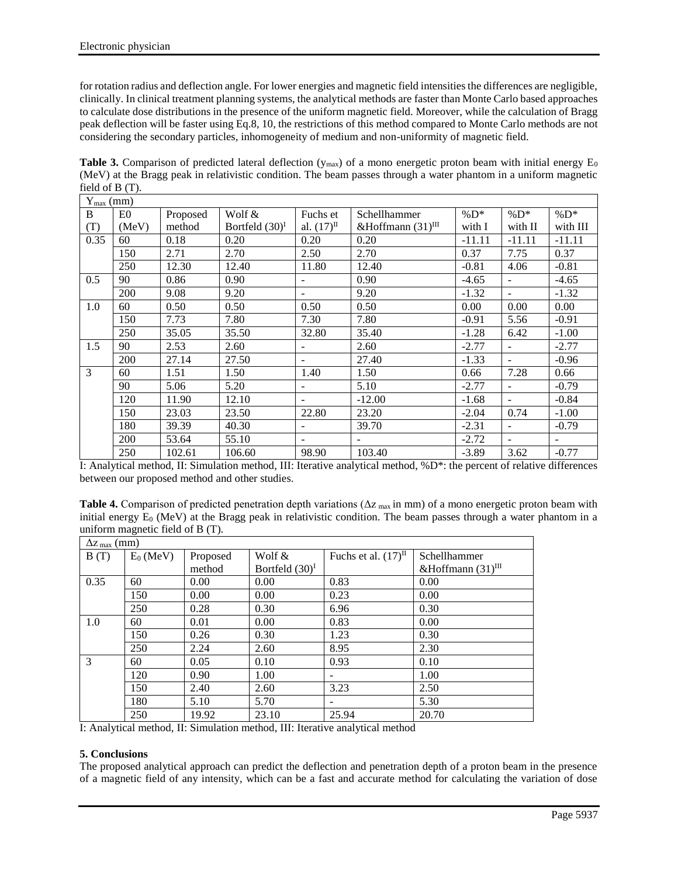for rotation radius and deflection angle. For lower energies and magnetic field intensities the differences are negligible, clinically. In clinical treatment planning systems, the analytical methods are faster than Monte Carlo based approaches to calculate dose distributions in the presence of the uniform magnetic field. Moreover, while the calculation of Bragg peak deflection will be faster using Eq.8, 10, the restrictions of this method compared to Monte Carlo methods are not considering the secondary particles, inhomogeneity of medium and non-uniformity of magnetic field.

**Table 3.** Comparison of predicted lateral deflection ( $y_{\text{max}}$ ) of a mono energetic proton beam with initial energy  $E_0$ (MeV) at the Bragg peak in relativistic condition. The beam passes through a water phantom in a uniform magnetic field of B (T).

| $Y_{\text{max}}$ (mm) |       |          |                     |                          |                      |          |                |          |
|-----------------------|-------|----------|---------------------|--------------------------|----------------------|----------|----------------|----------|
| B                     | E0    | Proposed | Wolf &              | Fuchs et                 | Schellhammer         | % $D^*$  | % $D^*$        | % $D^*$  |
| (T)                   | (MeV) | method   | Bortfeld $(30)^{I}$ | al. $(17)^{II}$          | &Hoffmann $(31)$ III | with I   | with II        | with III |
| 0.35                  | 60    | 0.18     | 0.20                | 0.20                     | 0.20                 | $-11.11$ | $-11.11$       | $-11.11$ |
|                       | 150   | 2.71     | 2.70                | 2.50                     | 2.70                 | 0.37     | 7.75           | 0.37     |
|                       | 250   | 12.30    | 12.40               | 11.80                    | 12.40                | $-0.81$  | 4.06           | $-0.81$  |
| 0.5                   | 90    | 0.86     | 0.90                |                          | 0.90                 | $-4.65$  |                | $-4.65$  |
|                       | 200   | 9.08     | 9.20                |                          | 9.20                 | $-1.32$  |                | $-1.32$  |
| 1.0                   | 60    | 0.50     | 0.50                | 0.50                     | 0.50                 | 0.00     | 0.00           | 0.00     |
|                       | 150   | 7.73     | 7.80                | 7.30                     | 7.80                 | $-0.91$  | 5.56           | $-0.91$  |
|                       | 250   | 35.05    | 35.50               | 32.80                    | 35.40                | $-1.28$  | 6.42           | $-1.00$  |
| 1.5                   | 90    | 2.53     | 2.60                |                          | 2.60                 | $-2.77$  |                | $-2.77$  |
|                       | 200   | 27.14    | 27.50               | $\overline{\phantom{a}}$ | 27.40                | $-1.33$  | $\blacksquare$ | $-0.96$  |
| 3                     | 60    | 1.51     | 1.50                | 1.40                     | 1.50                 | 0.66     | 7.28           | 0.66     |
|                       | 90    | 5.06     | 5.20                | $\overline{a}$           | 5.10                 | $-2.77$  |                | $-0.79$  |
|                       | 120   | 11.90    | 12.10               |                          | $-12.00$             | $-1.68$  | $\blacksquare$ | $-0.84$  |
|                       | 150   | 23.03    | 23.50               | 22.80                    | 23.20                | $-2.04$  | 0.74           | $-1.00$  |
|                       | 180   | 39.39    | 40.30               | $\overline{\phantom{0}}$ | 39.70                | $-2.31$  | $\blacksquare$ | $-0.79$  |
|                       | 200   | 53.64    | 55.10               |                          |                      | $-2.72$  |                |          |
|                       | 250   | 102.61   | 106.60              | 98.90                    | 103.40               | $-3.89$  | 3.62           | $-0.77$  |

I: Analytical method, II: Simulation method, III: Iterative analytical method, %D\*: the percent of relative differences between our proposed method and other studies.

**Table 4.** Comparison of predicted penetration depth variations (Δz max in mm) of a mono energetic proton beam with initial energy  $E_0$  (MeV) at the Bragg peak in relativistic condition. The beam passes through a water phantom in a uniform magnetic field of B (T).

| $\Delta z_{\rm max}$ (mm) |             |          |                   |                          |                                 |
|---------------------------|-------------|----------|-------------------|--------------------------|---------------------------------|
| B(T)                      | $E_0$ (MeV) | Proposed | Wolf &            | Fuchs et al. $(17)^{II}$ | Schellhammer                    |
|                           |             | method   | Bortfeld $(30)^I$ |                          | &Hoffmann $(31)$ <sup>III</sup> |
| 0.35                      | 60          | 0.00     | 0.00              | 0.83                     | 0.00                            |
|                           | 150         | 0.00     | 0.00              | 0.23                     | 0.00                            |
|                           | 250         | 0.28     | 0.30              | 6.96                     | 0.30                            |
| 1.0                       | 60          | 0.01     | 0.00              | 0.83                     | 0.00                            |
|                           | 150         | 0.26     | 0.30              | 1.23                     | 0.30                            |
|                           | 250         | 2.24     | 2.60              | 8.95                     | 2.30                            |
| 3                         | 60          | 0.05     | 0.10              | 0.93                     | 0.10                            |
|                           | 120         | 0.90     | 1.00              |                          | 1.00                            |
|                           | 150         | 2.40     | 2.60              | 3.23                     | 2.50                            |
|                           | 180         | 5.10     | 5.70              |                          | 5.30                            |
|                           | 250         | 19.92    | 23.10             | 25.94                    | 20.70                           |

I: Analytical method, II: Simulation method, III: Iterative analytical method

## **5. Conclusions**

The proposed analytical approach can predict the deflection and penetration depth of a proton beam in the presence of a magnetic field of any intensity, which can be a fast and accurate method for calculating the variation of dose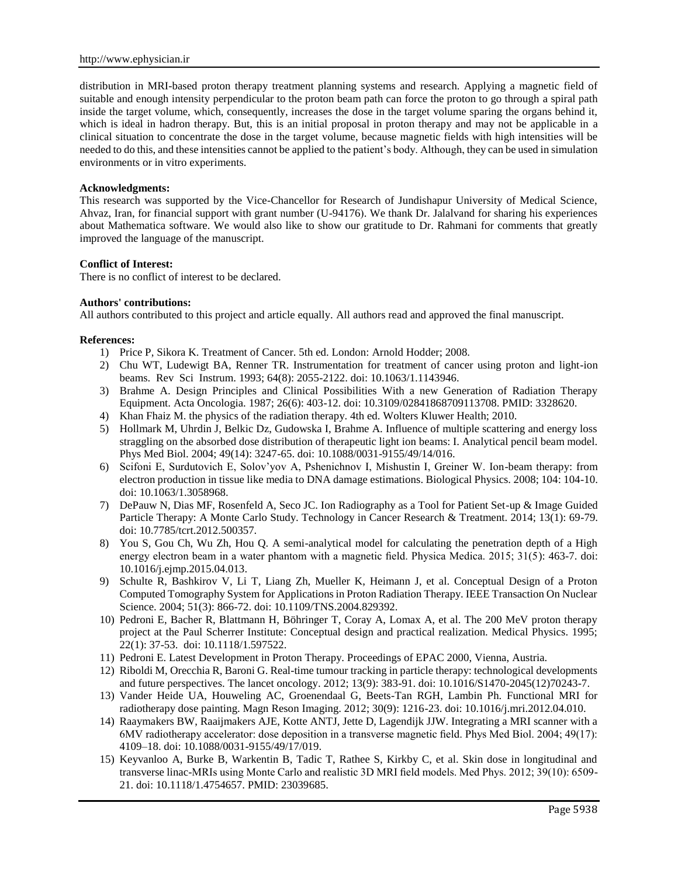distribution in MRI-based proton therapy treatment planning systems and research. Applying a magnetic field of suitable and enough intensity perpendicular to the proton beam path can force the proton to go through a spiral path inside the target volume, which, consequently, increases the dose in the target volume sparing the organs behind it, which is ideal in hadron therapy. But, this is an initial proposal in proton therapy and may not be applicable in a clinical situation to concentrate the dose in the target volume, because magnetic fields with high intensities will be needed to do this, and these intensities cannot be applied to the patient's body. Although, they can be used in simulation environments or in vitro experiments.

### **Acknowledgments:**

This research was supported by the Vice-Chancellor for Research of Jundishapur University of Medical Science, Ahvaz, Iran, for financial support with grant number  $(U-94176)$ . We thank Dr. Jalalvand for sharing his experiences about Mathematica software. We would also like to show our gratitude to Dr. Rahmani for comments that greatly improved the language of the manuscript.

## **Conflict of Interest:**

There is no conflict of interest to be declared.

## **Authors' contributions:**

All authors contributed to this project and article equally. All authors read and approved the final manuscript.

## **References:**

- 1) Price P, Sikora K. Treatment of Cancer. 5th ed. London: Arnold Hodder; 2008.
- 2) Chu WT, Ludewigt BA, Renner TR. Instrumentation for treatment of cancer using proton and light-ion beams. Rev Sci Instrum. 1993; 64(8): 2055-2122. doi: 10.1063/1.1143946.
- 3) Brahme A. Design Principles and Clinical Possibilities With a new Generation of Radiation Therapy Equipment. Acta Oncologia. 1987; 26(6): 403-12. doi: 10.3109/02841868709113708. PMID: 3328620.
- 4) Khan Fhaiz M. the physics of the radiation therapy. 4th ed. Wolters Kluwer Health; 2010.
- 5) Hollmark M, Uhrdin J, Belkic Dz, Gudowska I, Brahme A. Influence of multiple scattering and energy loss straggling on the absorbed dose distribution of therapeutic light ion beams: I. Analytical pencil beam model. Phys Med Biol. 2004; 49(14): 3247-65. doi: 10.1088/0031-9155/49/14/016.
- 6) Scifoni E, Surdutovich E, Solov'yov A, Pshenichnov I, Mishustin I, Greiner W. Ion-beam therapy: from electron production in tissue like media to DNA damage estimations. Biological Physics. 2008; 104: 104-10. doi: 10.1063/1.3058968.
- 7) DePauw N, Dias MF, Rosenfeld A, Seco JC. Ion Radiography as a Tool for Patient Set-up & Image Guided Particle Therapy: A Monte Carlo Study. Technology in Cancer Research & Treatment. 2014; 13(1): 69-79. doi: 10.7785/tcrt.2012.500357.
- 8) You S, Gou Ch, Wu Zh, Hou Q. A semi-analytical model for calculating the penetration depth of a High energy electron beam in a water phantom with a magnetic field. Physica Medica. 2015; 31(5): 463-7. doi: 10.1016/j.ejmp.2015.04.013.
- 9) Schulte R, Bashkirov V, Li T, Liang Zh, Mueller K, Heimann J, et al. Conceptual Design of a Proton Computed Tomography System for Applications in Proton Radiation Therapy. IEEE Transaction On Nuclear Science. 2004; 51(3): 866-72. doi: 10.1109/TNS.2004.829392.
- 10) Pedroni E, Bacher R, Blattmann H, Böhringer T, Coray A, Lomax A, et al. The 200 MeV proton therapy project at the Paul Scherrer Institute: Conceptual design and practical realization. Medical Physics. 1995; 22(1): 37-53. doi: 10.1118/1.597522.
- 11) Pedroni E. Latest Development in Proton Therapy. Proceedings of EPAC 2000, Vienna, Austria.
- 12) Riboldi M, Orecchia R, Baroni G. Real-time tumour tracking in particle therapy: technological developments and future perspectives. The lancet oncology. 2012; 13(9): 383-91. doi: 10.1016/S1470-2045(12)70243-7.
- 13) Vander Heide UA, Houweling AC, Groenendaal G, Beets-Tan RGH, Lambin Ph. Functional MRI for radiotherapy dose painting. Magn Reson Imaging. 2012; 30(9): 1216-23. doi: 10.1016/j.mri.2012.04.010.
- 14) Raaymakers BW, Raaijmakers AJE, Kotte ANTJ, Jette D, Lagendijk JJW. Integrating a MRI scanner with a 6MV radiotherapy accelerator: dose deposition in a transverse magnetic field. Phys Med Biol. 2004; 49(17): 4109–18. doi: 10.1088/0031-9155/49/17/019.
- 15) Keyvanloo A, Burke B, Warkentin B, Tadic T, Rathee S, Kirkby C, et al. Skin dose in longitudinal and transverse linac-MRIs using Monte Carlo and realistic 3D MRI field models. Med Phys. 2012; 39(10): 6509- 21. doi: 10.1118/1.4754657. PMID: 23039685.